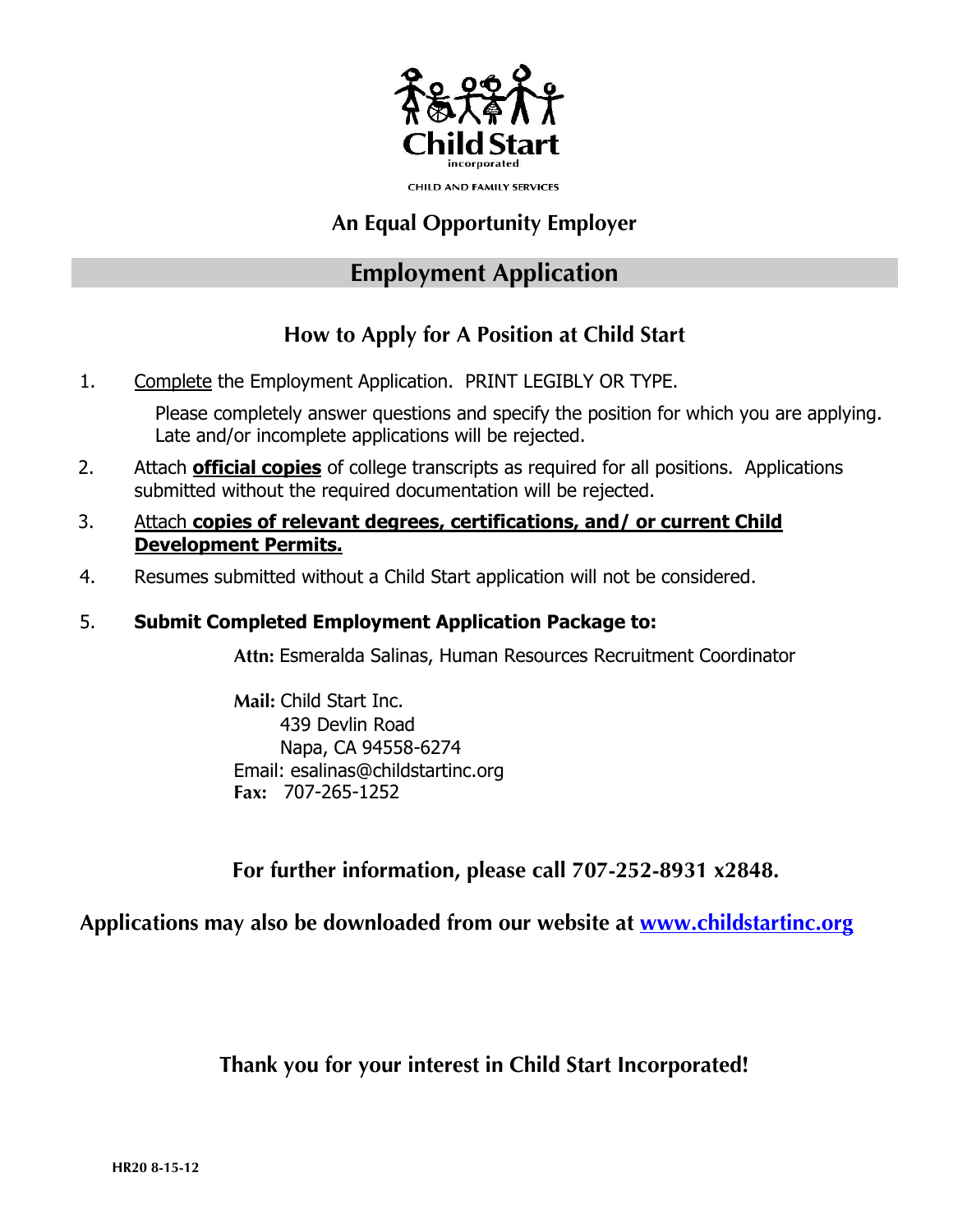

**CHILD AND FAMILY SERVICES** 

## An Equal Opportunity Employer

## Employment Application

## How to Apply for A Position at Child Start

1. Complete the Employment Application. PRINT LEGIBLY OR TYPE.

Please completely answer questions and specify the position for which you are applying. Late and/or incomplete applications will be rejected.

- 2. Attach **official copies** of college transcripts as required for all positions. Applications submitted without the required documentation will be rejected.
- 3. Attach **copies of relevant degrees, certifications, and/ or current Child Development Permits.**
- 4. Resumes submitted without a Child Start application will not be considered.

### 5. **Submit Completed Employment Application Package to:**

Attn: Esmeralda Salinas, Human Resources Recruitment Coordinator

Mail: Child Start Inc. 439 Devlin Road Napa, CA 94558-6274 Fax: 707-265-1252 Email: esalinas@childstartinc.org

For further information, please call 707-252-8931 x2848.

Applications may also be downloaded from our website at [www.childstartinc.org](http://www.childstartinc.org/)

Thank you for your interest in Child Start Incorporated!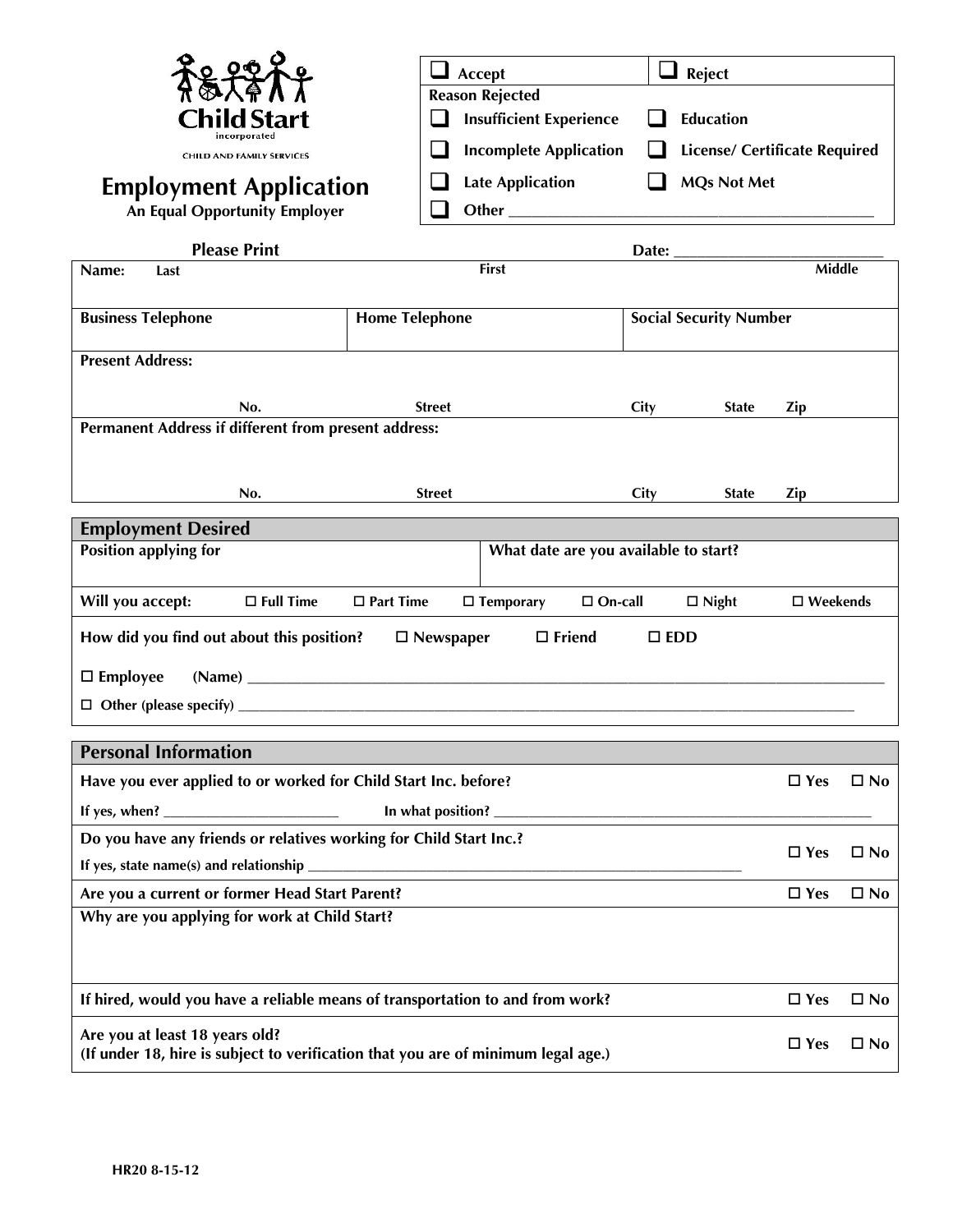|                                                                                                                                   |                       |               | Accept                                                   |              | $\Box$ Reject                        |                    |              |
|-----------------------------------------------------------------------------------------------------------------------------------|-----------------------|---------------|----------------------------------------------------------|--------------|--------------------------------------|--------------------|--------------|
| Child Start                                                                                                                       |                       |               | <b>Reason Rejected</b><br><b>Insufficient Experience</b> |              | <b>Education</b>                     |                    |              |
| CHILD AND FAMILY SERVICES                                                                                                         |                       |               | <b>Incomplete Application</b>                            |              | <b>License/ Certificate Required</b> |                    |              |
| <b>Employment Application</b>                                                                                                     |                       |               | <b>Late Application</b>                                  |              | <b>MQs Not Met</b>                   |                    |              |
| <b>An Equal Opportunity Employer</b>                                                                                              |                       |               |                                                          |              |                                      |                    |              |
| <b>Please Print</b>                                                                                                               |                       |               |                                                          |              |                                      |                    |              |
| Name:<br>Last                                                                                                                     |                       |               | <b>First</b>                                             |              |                                      | <b>Middle</b>      |              |
| <b>Business Telephone</b>                                                                                                         | <b>Home Telephone</b> |               |                                                          |              | <b>Social Security Number</b>        |                    |              |
| <b>Present Address:</b>                                                                                                           |                       |               |                                                          |              |                                      |                    |              |
|                                                                                                                                   |                       |               |                                                          |              |                                      |                    |              |
| No.                                                                                                                               |                       | <b>Street</b> |                                                          | City         | <b>State</b>                         | Zip                |              |
| Permanent Address if different from present address:                                                                              |                       |               |                                                          |              |                                      |                    |              |
|                                                                                                                                   |                       |               |                                                          |              |                                      |                    |              |
| No.                                                                                                                               |                       | <b>Street</b> |                                                          | City         | <b>State</b>                         | Zip                |              |
| <b>Employment Desired</b>                                                                                                         |                       |               |                                                          |              |                                      |                    |              |
| <b>Position applying for</b>                                                                                                      |                       |               | What date are you available to start?                    |              |                                      |                    |              |
| Will you accept:<br>$\Box$ Full Time                                                                                              | $\Box$ Part Time      |               | $\Box$ Temporary<br>$\Box$ On-call                       |              | $\Box$ Night                         | $\square$ Weekends |              |
| How did you find out about this position?<br>$\square$ Friend<br>$\Box$ Newspaper<br>$\square$ EDD                                |                       |               |                                                          |              |                                      |                    |              |
| $\Box$ Employee                                                                                                                   |                       |               |                                                          |              |                                      |                    |              |
|                                                                                                                                   |                       |               |                                                          |              |                                      |                    |              |
|                                                                                                                                   |                       |               |                                                          |              |                                      |                    |              |
| <b>Personal Information</b>                                                                                                       |                       |               |                                                          |              |                                      |                    |              |
| Have you ever applied to or worked for Child Start Inc. before?                                                                   |                       |               |                                                          |              |                                      | $\square$ Yes      | $\square$ No |
| Do you have any friends or relatives working for Child Start Inc.?                                                                |                       |               |                                                          |              |                                      |                    |              |
| If yes, state name(s) and relationship                                                                                            |                       |               |                                                          |              |                                      | $\Box$ Yes         | $\square$ No |
| Are you a current or former Head Start Parent?                                                                                    |                       |               |                                                          |              |                                      | $\square$ Yes      | $\square$ No |
| Why are you applying for work at Child Start?                                                                                     |                       |               |                                                          |              |                                      |                    |              |
|                                                                                                                                   |                       |               |                                                          |              |                                      |                    |              |
| If hired, would you have a reliable means of transportation to and from work?                                                     |                       |               |                                                          |              |                                      | $\Box$ Yes         | $\square$ No |
| Are you at least 18 years old?<br>$\Box$ Yes<br>(If under 18, hire is subject to verification that you are of minimum legal age.) |                       |               |                                                          | $\square$ No |                                      |                    |              |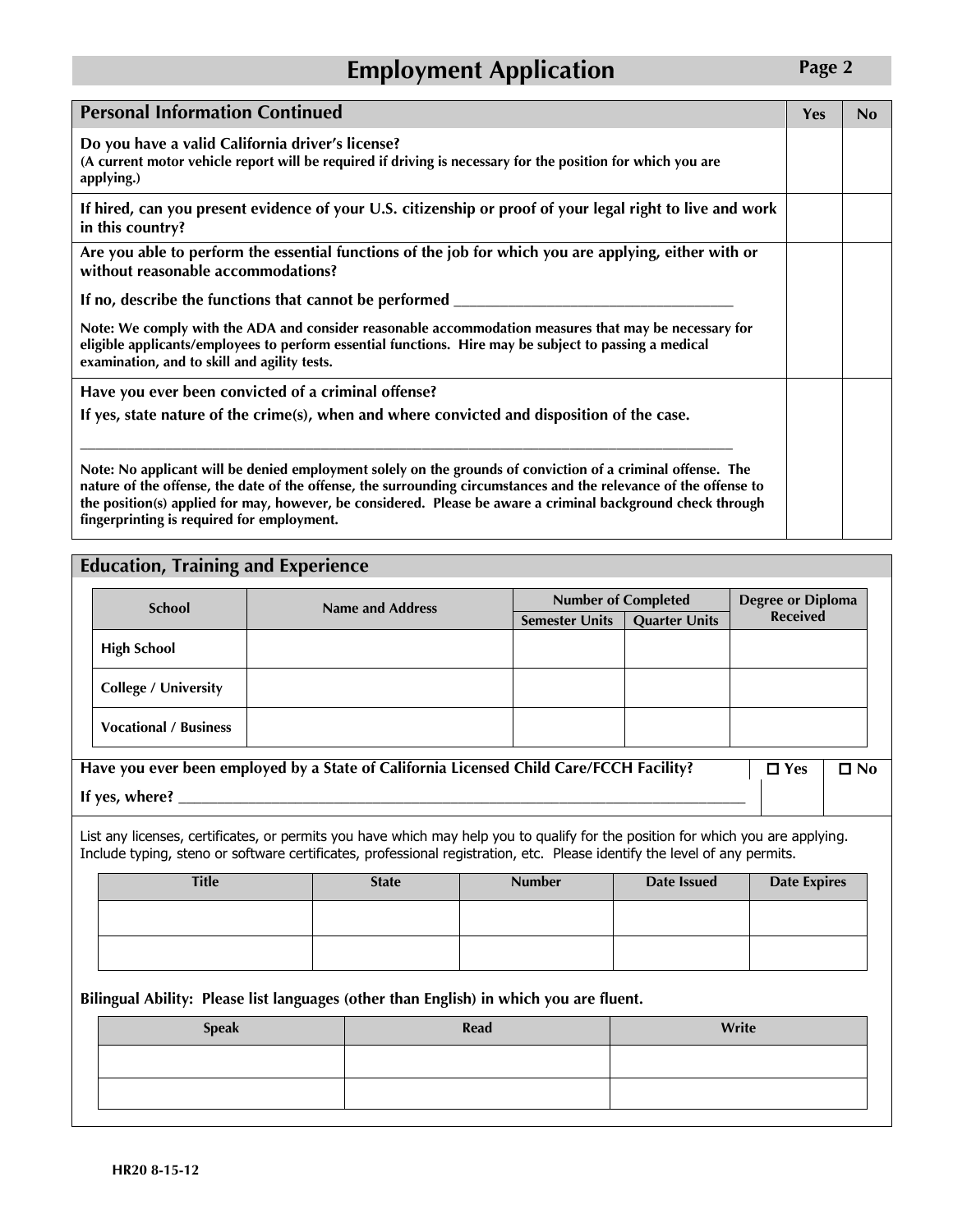## **Employment Application** Page 2

| <b>Personal Information Continued</b>                                                                                                                                                                                                                                                                                                                                                          | Yes | N <sub>0</sub> |
|------------------------------------------------------------------------------------------------------------------------------------------------------------------------------------------------------------------------------------------------------------------------------------------------------------------------------------------------------------------------------------------------|-----|----------------|
| Do you have a valid California driver's license?<br>(A current motor vehicle report will be required if driving is necessary for the position for which you are<br>applying.)                                                                                                                                                                                                                  |     |                |
| If hired, can you present evidence of your U.S. citizenship or proof of your legal right to live and work<br>in this country?                                                                                                                                                                                                                                                                  |     |                |
| Are you able to perform the essential functions of the job for which you are applying, either with or<br>without reasonable accommodations?                                                                                                                                                                                                                                                    |     |                |
| If no, describe the functions that cannot be performed _________                                                                                                                                                                                                                                                                                                                               |     |                |
| Note: We comply with the ADA and consider reasonable accommodation measures that may be necessary for<br>eligible applicants/employees to perform essential functions. Hire may be subject to passing a medical<br>examination, and to skill and agility tests.                                                                                                                                |     |                |
| Have you ever been convicted of a criminal offense?                                                                                                                                                                                                                                                                                                                                            |     |                |
| If yes, state nature of the crime(s), when and where convicted and disposition of the case.                                                                                                                                                                                                                                                                                                    |     |                |
| Note: No applicant will be denied employment solely on the grounds of conviction of a criminal offense. The<br>nature of the offense, the date of the offense, the surrounding circumstances and the relevance of the offense to<br>the position(s) applied for may, however, be considered. Please be aware a criminal background check through<br>fingerprinting is required for employment. |     |                |

#### Education, Training and Experience

| <b>School</b>                | Name and Address | <b>Number of Completed</b>                    | <b>Degree or Diploma</b><br><b>Received</b> |  |
|------------------------------|------------------|-----------------------------------------------|---------------------------------------------|--|
|                              |                  | <b>Quarter Units</b><br><b>Semester Units</b> |                                             |  |
| <b>High School</b>           |                  |                                               |                                             |  |
| <b>College / University</b>  |                  |                                               |                                             |  |
| <b>Vocational / Business</b> |                  |                                               |                                             |  |

| Have you ever been employed by a State of California Licensed Child Care/FCCH Facility? | $\Box$ Yes $\Box$ No |  |
|-----------------------------------------------------------------------------------------|----------------------|--|
| If yes, where?                                                                          |                      |  |

List any licenses, certificates, or permits you have which may help you to qualify for the position for which you are applying. Include typing, steno or software certificates, professional registration, etc. Please identify the level of any permits.

| <b>Title</b> | <b>State</b> | <b>Number</b> | Date Issued | <b>Date Expires</b> |
|--------------|--------------|---------------|-------------|---------------------|
|              |              |               |             |                     |
|              |              |               |             |                     |

Bilingual Ability: Please list languages (other than English) in which you are fluent.

| <b>Speak</b> | Read | Write |
|--------------|------|-------|
|              |      |       |
|              |      |       |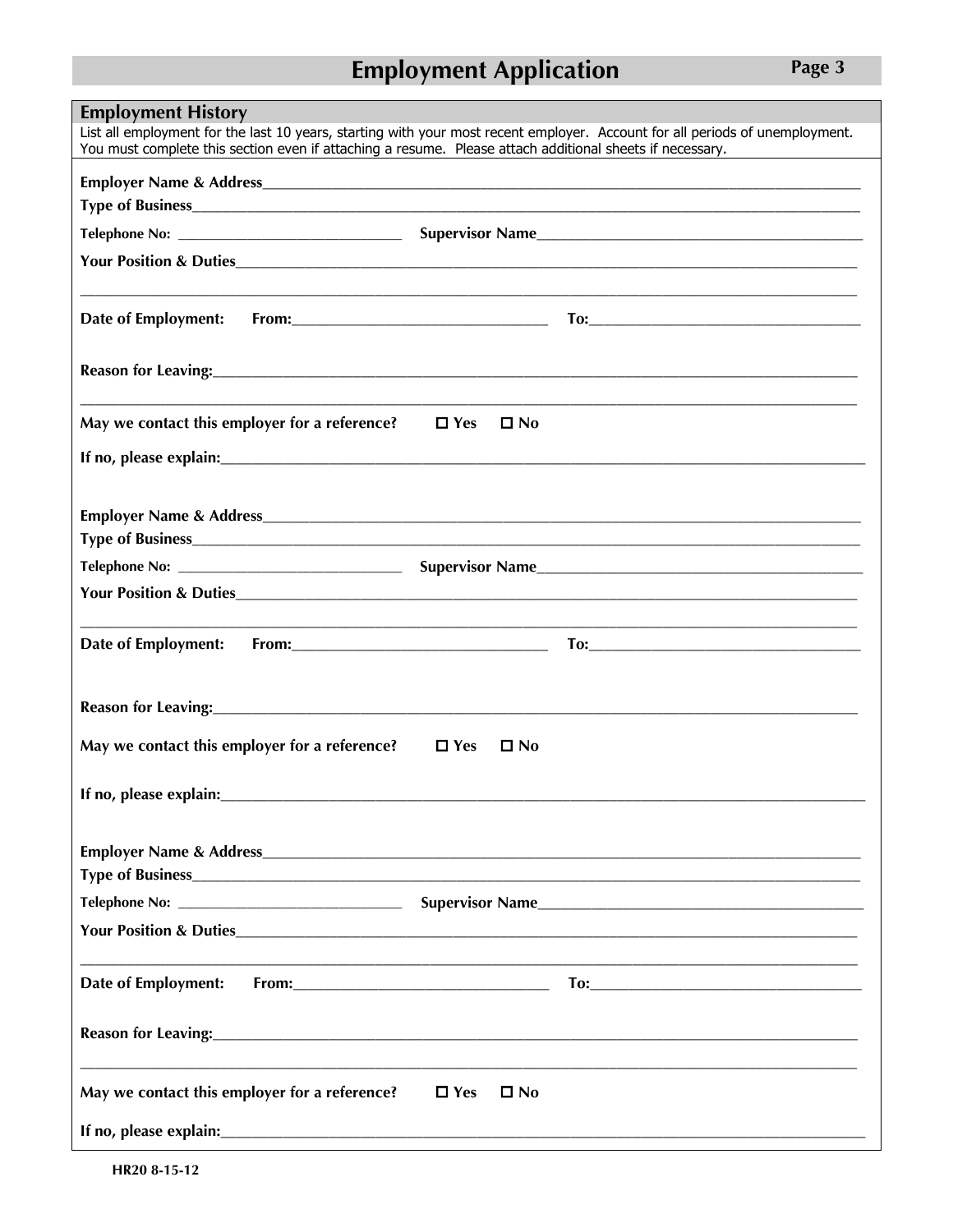## **Employment Application**

**Employment History** List all employment for the last 10 years, starting with your most recent employer. Account for all periods of unemployment. You must complete this section even if attaching a resume. Please attach additional sheets if necessary. **Your Position & Duties** May we contact this employer for a reference?  $\Box$  Yes  $\Box$  No If no, please explain: <u>contract the contract of the set of the contract of the set of the contract of the set of the contract of the contract of the contract of the contract of the contract of the contract of the contract</u> **Employer Name & Address Employer Name & Address** Telephone No: Supervisor Name Your Position & Duties Reason for Leaving:<br>
<u>Leaving:</u> May we contact this employer for a reference?  $\Box$  Yes  $\Box$  No **Type of Business** Supervisor Name Telephone No: \_\_ **Your Position & Duties** Date of Employment: Reason for Leaving: 2008  $\Box$  Yes  $\square$  No May we contact this employer for a reference? If no, please explain:\_\_\_\_\_\_\_\_\_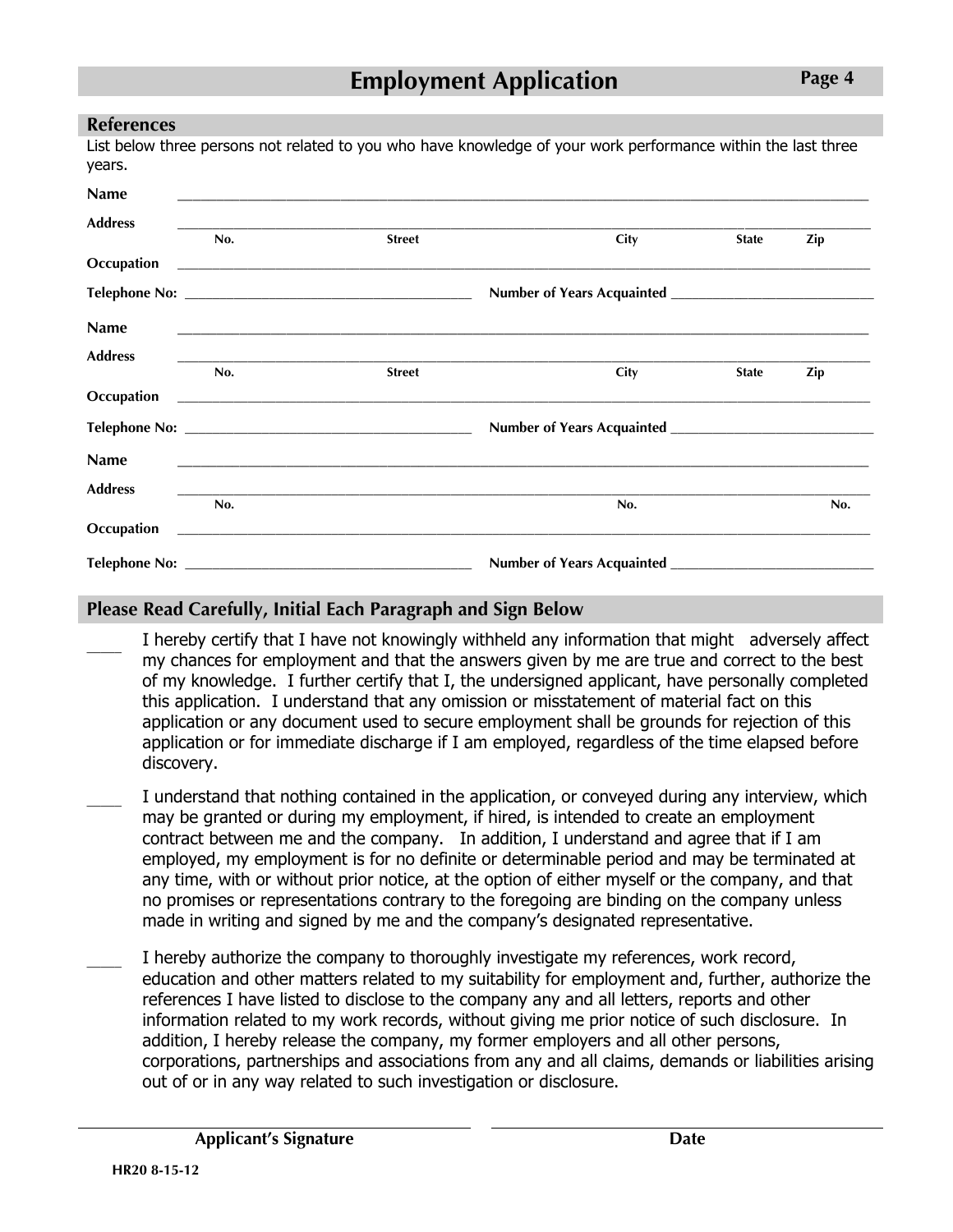#### References

List below three persons not related to you who have knowledge of your work performance within the last three years.

| <b>Name</b>    |     |                                                                                                   |                                                                                                                            |              |     |
|----------------|-----|---------------------------------------------------------------------------------------------------|----------------------------------------------------------------------------------------------------------------------------|--------------|-----|
| <b>Address</b> | No. | <b>Street</b>                                                                                     | City                                                                                                                       | <b>State</b> | Zip |
| Occupation     |     |                                                                                                   |                                                                                                                            |              |     |
|                |     |                                                                                                   |                                                                                                                            |              |     |
| <b>Name</b>    |     |                                                                                                   |                                                                                                                            |              |     |
| <b>Address</b> | No. | ,我们也不会有什么。""我们的人,我们也不会有什么?""我们的人,我们也不会有什么?""我们的人,我们也不会有什么?""我们的人,我们也不会有什么?""我们的人<br><b>Street</b> | City                                                                                                                       | <b>State</b> | Zip |
|                |     |                                                                                                   | <b>Occupation</b> 2002 2003 2004 2012 2022 2022 2023 2024 2022 2022 2023 2024 2022 2023 2024 2022 2023 2024 2022 2023 2024 |              |     |
|                |     |                                                                                                   |                                                                                                                            |              |     |
| <b>Name</b>    |     |                                                                                                   |                                                                                                                            |              |     |
| <b>Address</b> | No. |                                                                                                   | No.                                                                                                                        |              | No. |
| Occupation     |     |                                                                                                   |                                                                                                                            |              |     |
|                |     |                                                                                                   | Number of Years Acquainted ______________                                                                                  |              |     |

#### Please Read Carefully, Initial Each Paragraph and Sign Below

- $\overline{\phantom{a}}$ I hereby certify that I have not knowingly withheld any information that might adversely affect my chances for employment and that the answers given by me are true and correct to the best of my knowledge. I further certify that I, the undersigned applicant, have personally completed this application. I understand that any omission or misstatement of material fact on this application or any document used to secure employment shall be grounds for rejection of this application or for immediate discharge if I am employed, regardless of the time elapsed before discovery.
- I understand that nothing contained in the application, or conveyed during any interview, which may be granted or during my employment, if hired, is intended to create an employment contract between me and the company. In addition, I understand and agree that if I am employed, my employment is for no definite or determinable period and may be terminated at any time, with or without prior notice, at the option of either myself or the company, and that no promises or representations contrary to the foregoing are binding on the company unless made in writing and signed by me and the company's designated representative.
- I hereby authorize the company to thoroughly investigate my references, work record, education and other matters related to my suitability for employment and, further, authorize the references I have listed to disclose to the company any and all letters, reports and other information related to my work records, without giving me prior notice of such disclosure. In addition, I hereby release the company, my former employers and all other persons, corporations, partnerships and associations from any and all claims, demands or liabilities arising out of or in any way related to such investigation or disclosure.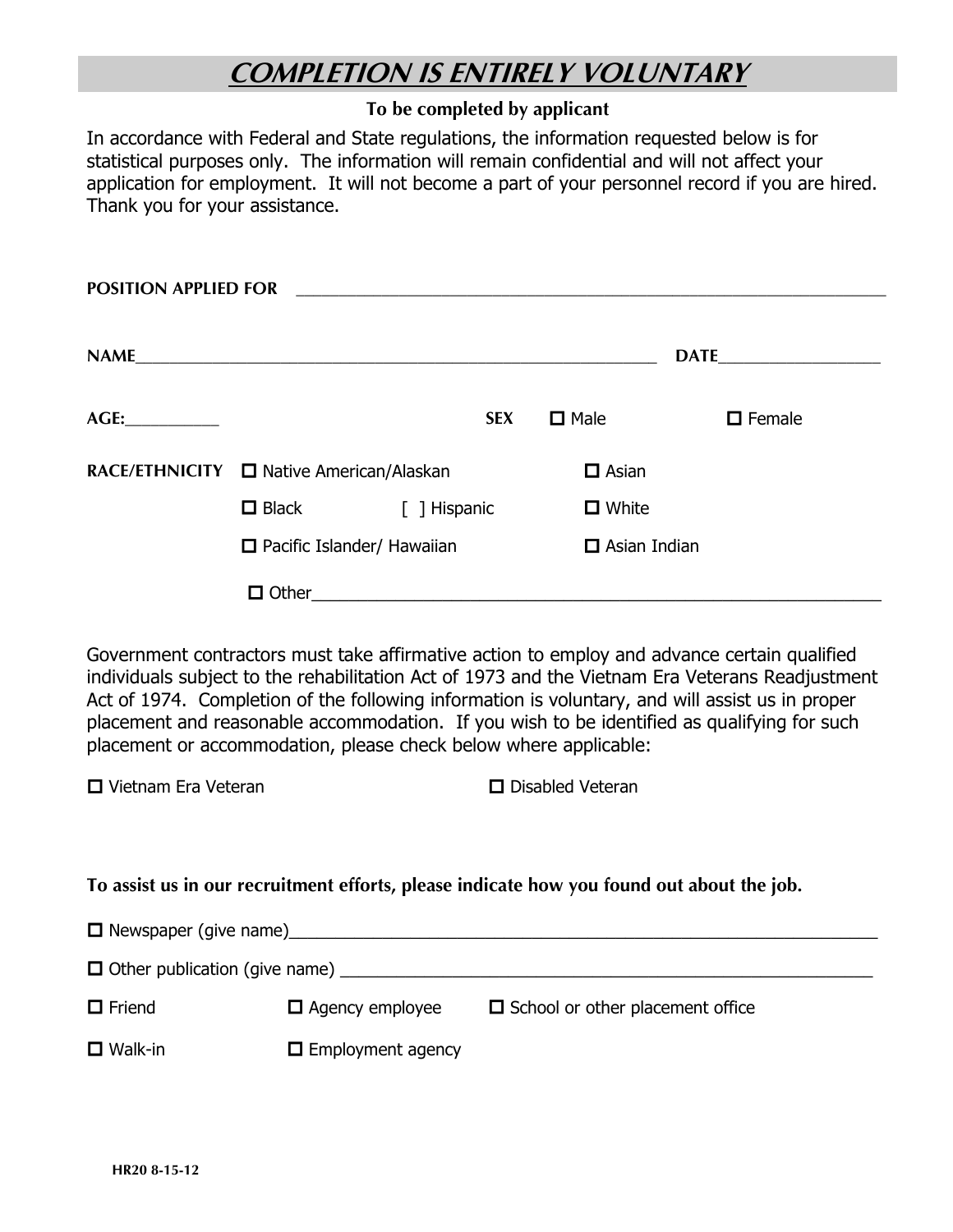# COMPLETION IS ENTIRELY VOLUNTARY

#### To be completed by applicant

In accordance with Federal and State regulations, the information requested below is for statistical purposes only. The information will remain confidential and will not affect your application for employment. It will not become a part of your personnel record if you are hired. Thank you for your assistance.

| <b>POSITION APPLIED FOR</b> |                                          |              |                     |               |  |
|-----------------------------|------------------------------------------|--------------|---------------------|---------------|--|
|                             | NAME                                     |              |                     |               |  |
|                             |                                          | <b>SEX</b>   | $\square$ Male      | $\Box$ Female |  |
|                             | RACE/ETHNICITY □ Native American/Alaskan |              | $\Box$ Asian        |               |  |
|                             | $\Box$ Black                             | [ ] Hispanic | $\Box$ White        |               |  |
|                             | $\Box$ Pacific Islander/ Hawaiian        |              | $\Box$ Asian Indian |               |  |
|                             |                                          |              |                     |               |  |

Government contractors must take affirmative action to employ and advance certain qualified individuals subject to the rehabilitation Act of 1973 and the Vietnam Era Veterans Readjustment Act of 1974. Completion of the following information is voluntary, and will assist us in proper placement and reasonable accommodation. If you wish to be identified as qualifying for such placement or accommodation, please check below where applicable:

 $\square$  Vietnam Era Veteran  $\square$  Disabled Veteran

#### To assist us in our recruitment efforts, please indicate how you found out about the job.

| $\Box$ Newspaper (give name)                    |                          |                                         |
|-------------------------------------------------|--------------------------|-----------------------------------------|
| $\Box$ Other publication (give name) __________ |                          |                                         |
| $\Box$ Friend                                   | $\Box$ Agency employee   | $\Box$ School or other placement office |
| $\Box$ Walk-in                                  | $\Box$ Employment agency |                                         |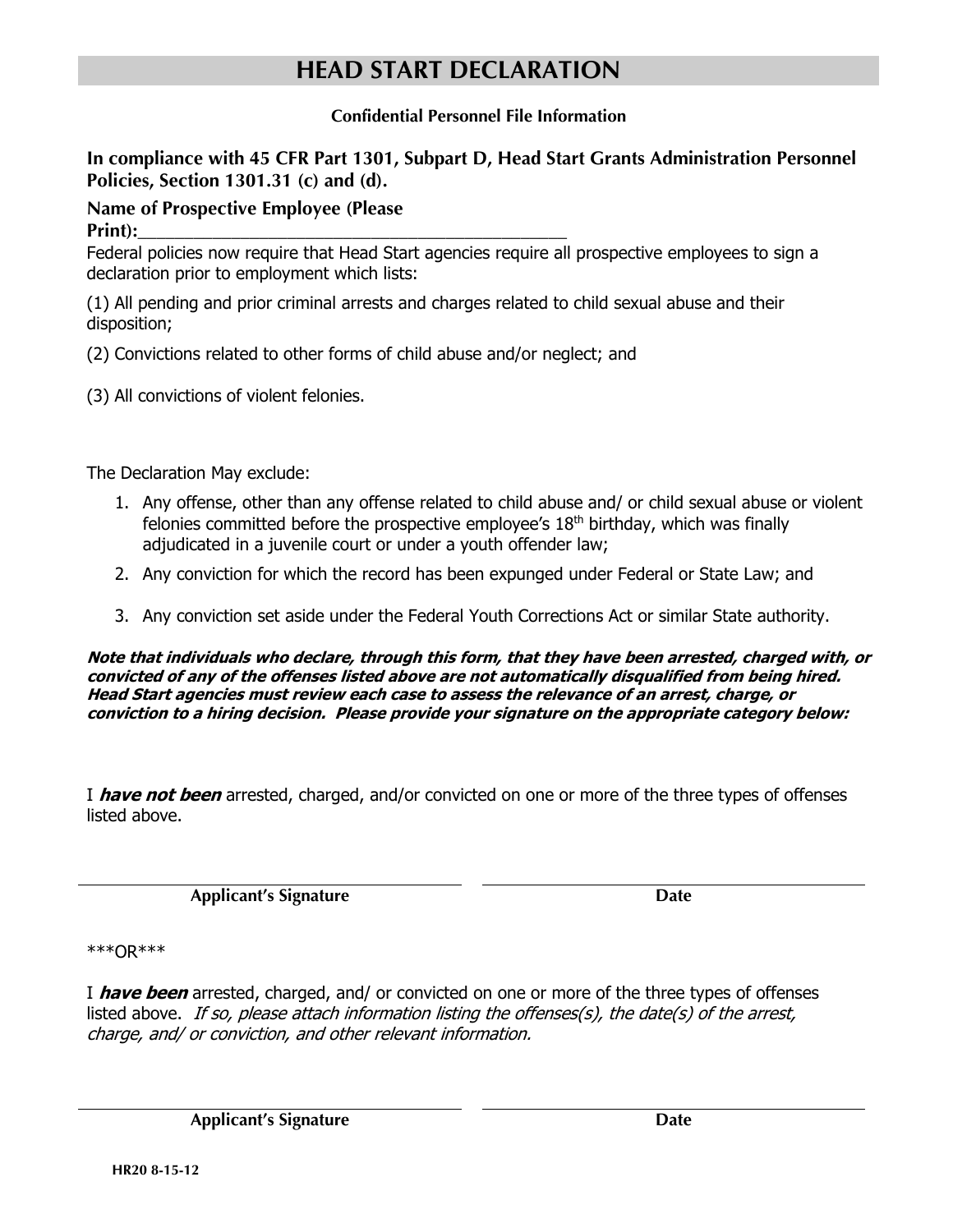## HEAD START DECLARATION

#### Confidential Personnel File Information

In compliance with 45 CFR Part 1301, Subpart D, Head Start Grants Administration Personnel Policies, Section 1301.31 (c) and (d).

#### Name of Prospective Employee (Please

Print):\_\_\_\_\_\_\_\_\_\_\_\_\_\_\_\_\_\_\_\_\_\_\_\_\_\_\_\_\_\_\_\_\_\_\_\_\_\_\_\_\_\_\_\_\_\_

Federal policies now require that Head Start agencies require all prospective employees to sign a declaration prior to employment which lists:

(1) All pending and prior criminal arrests and charges related to child sexual abuse and their disposition;

- (2) Convictions related to other forms of child abuse and/or neglect; and
- (3) All convictions of violent felonies.

The Declaration May exclude:

- 1. Any offense, other than any offense related to child abuse and/ or child sexual abuse or violent felonies committed before the prospective employee's  $18<sup>th</sup>$  birthday, which was finally adjudicated in a juvenile court or under a youth offender law;
- 2. Any conviction for which the record has been expunged under Federal or State Law; and
- 3. Any conviction set aside under the Federal Youth Corrections Act or similar State authority.

**Note that individuals who declare, through this form, that they have been arrested, charged with, or convicted of any of the offenses listed above are not automatically disqualified from being hired. Head Start agencies must review each case to assess the relevance of an arrest, charge, or conviction to a hiring decision. Please provide your signature on the appropriate category below:**

I **have not been** arrested, charged, and/or convicted on one or more of the three types of offenses listed above.

Applicant's Signature Date

\*\*\*OR\*\*\*

I **have been** arrested, charged, and/ or convicted on one or more of the three types of offenses listed above. If so, please attach information listing the offenses(s), the date(s) of the arrest, charge, and/ or conviction, and other relevant information.

Applicant's Signature Date